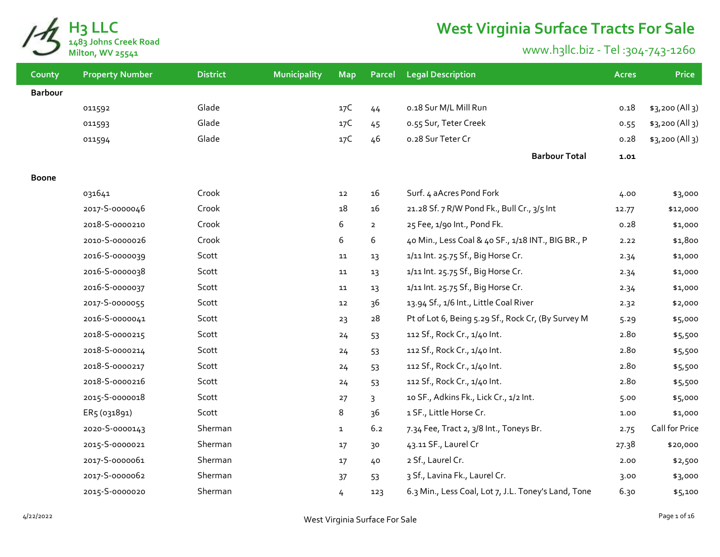

## **West Virginia Surface Tracts For Sale**

## www.h3llc.biz - Tel :304-743-1260

| County         | <b>Property Number</b> | <b>District</b> | Municipality | <b>Map</b>   | <b>Parcel</b>  | <b>Legal Description</b>                            | <b>Acres</b> | <b>Price</b>    |
|----------------|------------------------|-----------------|--------------|--------------|----------------|-----------------------------------------------------|--------------|-----------------|
| <b>Barbour</b> |                        |                 |              |              |                |                                                     |              |                 |
|                | 011592                 | Glade           |              | 17C          | 44             | 0.18 Sur M/L Mill Run                               | 0.18         | \$3,200 (All 3) |
|                | 011593                 | Glade           |              | 17C          | 45             | 0.55 Sur, Teter Creek                               | 0.55         | \$3,200 (All 3) |
|                | 011594                 | Glade           |              | 17C          | 46             | 0.28 Sur Teter Cr                                   | 0.28         | \$3,200 (All 3) |
|                |                        |                 |              |              |                | <b>Barbour Total</b>                                | 1.01         |                 |
| Boone          |                        |                 |              |              |                |                                                     |              |                 |
|                | 031641                 | Crook           |              | 12           | 16             | Surf. 4 aAcres Pond Fork                            | 4.00         | \$3,000         |
|                | 2017-S-0000046         | Crook           |              | 18           | 16             | 21.28 Sf. 7 R/W Pond Fk., Bull Cr., 3/5 Int         | 12.77        | \$12,000        |
|                | 2018-5-0000210         | Crook           |              | 6            | $\overline{2}$ | 25 Fee, 1/90 Int., Pond Fk.                         | 0.28         | \$1,000         |
|                | 2010-S-0000026         | Crook           |              | 6            | 6              | 40 Min., Less Coal & 40 SF., 1/18 INT., BIG BR., P  | 2.22         | \$1,800         |
|                | 2016-S-0000039         | Scott           |              | 11           | 13             | 1/11 Int. 25.75 Sf., Big Horse Cr.                  | 2.34         | \$1,000         |
|                | 2016-S-0000038         | Scott           |              | 11           | 13             | 1/11 Int. 25.75 Sf., Big Horse Cr.                  | 2.34         | \$1,000         |
|                | 2016-S-0000037         | Scott           |              | 11           | 13             | 1/11 Int. 25.75 Sf., Big Horse Cr.                  | 2.34         | \$1,000         |
|                | 2017-S-0000055         | Scott           |              | 12           | 36             | 13.94 Sf., 1/6 Int., Little Coal River              | 2.32         | \$2,000         |
|                | 2016-S-0000041         | Scott           |              | 23           | 28             | Pt of Lot 6, Being 5.29 Sf., Rock Cr, (By Survey M  | 5.29         | \$5,000         |
|                | 2018-5-0000215         | Scott           |              | 24           | 53             | 112 Sf., Rock Cr., 1/40 Int.                        | 2.80         | \$5,500         |
|                | 2018-5-0000214         | Scott           |              | 24           | 53             | 112 Sf., Rock Cr., 1/40 Int.                        | 2.80         | \$5,500         |
|                | 2018-5-0000217         | Scott           |              | 24           | 53             | 112 Sf., Rock Cr., 1/40 Int.                        | 2.80         | \$5,500         |
|                | 2018-S-0000216         | Scott           |              | 24           | 53             | 112 Sf., Rock Cr., 1/40 Int.                        | 2.80         | \$5,500         |
|                | 2015-5-0000018         | Scott           |              | 27           | 3              | 10 SF., Adkins Fk., Lick Cr., 1/2 Int.              | 5.00         | \$5,000         |
|                | ER5 (031891)           | Scott           |              | 8            | 36             | 1 SF., Little Horse Cr.                             | 1.00         | \$1,000         |
|                | 2020-S-0000143         | Sherman         |              | $\mathbf{1}$ | 6.2            | 7.34 Fee, Tract 2, 3/8 Int., Toneys Br.             | 2.75         | Call for Price  |
|                | 2015-S-0000021         | Sherman         |              | 17           | 30             | 43.11 SF., Laurel Cr                                | 27.38        | \$20,000        |
|                | 2017-S-0000061         | Sherman         |              | 17           | 40             | 2 Sf., Laurel Cr.                                   | 2.00         | \$2,500         |
|                | 2017-S-0000062         | Sherman         |              | 37           | 53             | 3 Sf., Lavina Fk., Laurel Cr.                       | 3.00         | \$3,000         |
|                | 2015-5-0000020         | Sherman         |              | 4            | 123            | 6.3 Min., Less Coal, Lot 7, J.L. Toney's Land, Tone | 6.30         | \$5,100         |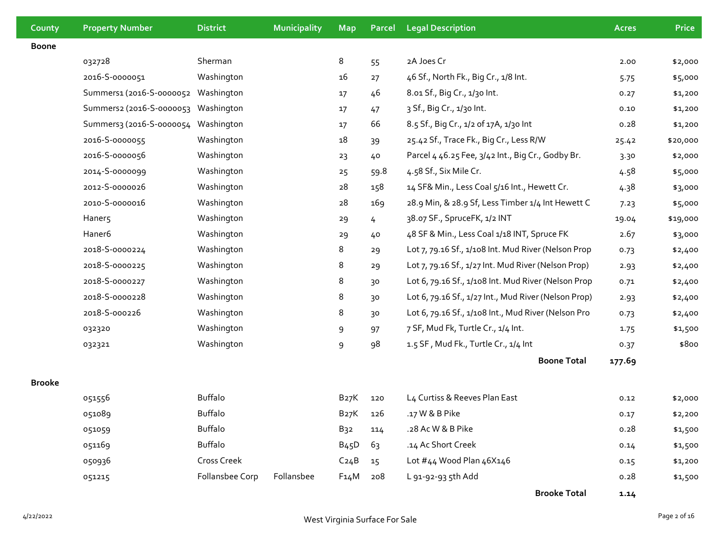| County        | <b>Property Number</b>              | <b>District</b> | <b>Municipality</b> | <b>Map</b>        | Parcel | <b>Legal Description</b>                             | <b>Acres</b> | <b>Price</b> |
|---------------|-------------------------------------|-----------------|---------------------|-------------------|--------|------------------------------------------------------|--------------|--------------|
| <b>Boone</b>  |                                     |                 |                     |                   |        |                                                      |              |              |
|               | 032728                              | Sherman         |                     | 8                 | 55     | 2A Joes Cr                                           | 2.00         | \$2,000      |
|               | 2016-S-0000051                      | Washington      |                     | 16                | 27     | 46 Sf., North Fk., Big Cr., 1/8 Int.                 | 5.75         | \$5,000      |
|               | Summers1 (2016-S-0000052            | Washington      |                     | 17                | 46     | 8.01 Sf., Big Cr., 1/30 Int.                         | 0.27         | \$1,200      |
|               | Summers2 (2016-S-0000053 Washington |                 |                     | 17                | 47     | 3 Sf., Big Cr., 1/30 Int.                            | 0.10         | \$1,200      |
|               | Summers3 (2016-S-0000054            | Washington      |                     | 17                | 66     | 8.5 Sf., Big Cr., 1/2 of 17A, 1/30 Int               | 0.28         | \$1,200      |
|               | 2016-S-0000055                      | Washington      |                     | 18                | 39     | 25.42 Sf., Trace Fk., Big Cr., Less R/W              | 25.42        | \$20,000     |
|               | 2016-S-0000056                      | Washington      |                     | 23                | 40     | Parcel 4 46.25 Fee, 3/42 Int., Big Cr., Godby Br.    | 3.30         | \$2,000      |
|               | 2014-5-0000099                      | Washington      |                     | 25                | 59.8   | 4.58 Sf., Six Mile Cr.                               | 4.58         | \$5,000      |
|               | 2012-5-0000026                      | Washington      |                     | 28                | 158    | 14 SF& Min., Less Coal 5/16 Int., Hewett Cr.         | 4.38         | \$3,000      |
|               | 2010-S-0000016                      | Washington      |                     | 28                | 169    | 28.9 Min, & 28.9 Sf, Less Timber 1/4 Int Hewett C    | 7.23         | \$5,000      |
|               | Haner5                              | Washington      |                     | 29                | 4      | 38.07 SF., SpruceFK, 1/2 INT                         | 19.04        | \$19,000     |
|               | Haner6                              | Washington      |                     | 29                | 40     | 48 SF & Min., Less Coal 1/18 INT, Spruce FK          | 2.67         | \$3,000      |
|               | 2018-5-0000224                      | Washington      |                     | 8                 | 29     | Lot 7, 79.16 Sf., 1/108 Int. Mud River (Nelson Prop  | 0.73         | \$2,400      |
|               | 2018-5-0000225                      | Washington      |                     | 8                 | 29     | Lot 7, 79.16 Sf., 1/27 Int. Mud River (Nelson Prop)  | 2.93         | \$2,400      |
|               | 2018-S-0000227                      | Washington      |                     | 8                 | 30     | Lot 6, 79.16 Sf., 1/108 Int. Mud River (Nelson Prop  | 0.71         | \$2,400      |
|               | 2018-5-0000228                      | Washington      |                     | 8                 | 30     | Lot 6, 79.16 Sf., 1/27 Int., Mud River (Nelson Prop) | 2.93         | \$2,400      |
|               | 2018-5-000226                       | Washington      |                     | 8                 | 30     | Lot 6, 79.16 Sf., 1/108 Int., Mud River (Nelson Pro  | 0.73         | \$2,400      |
|               | 032320                              | Washington      |                     | 9                 | 97     | 7 SF, Mud Fk, Turtle Cr., 1/4 Int.                   | 1.75         | \$1,500      |
|               | 032321                              | Washington      |                     | 9                 | 98     | 1.5 SF, Mud Fk., Turtle Cr., 1/4 Int                 | 0.37         | \$800        |
|               |                                     |                 |                     |                   |        | <b>Boone Total</b>                                   | 177.69       |              |
| <b>Brooke</b> |                                     |                 |                     |                   |        |                                                      |              |              |
|               | 051556                              | <b>Buffalo</b>  |                     | B27K              | 120    | L4 Curtiss & Reeves Plan East                        | 0.12         | \$2,000      |
|               | 051089                              | <b>Buffalo</b>  |                     | B27K              | 126    | .17 W & B Pike                                       | 0.17         | \$2,200      |
|               | 051059                              | Buffalo         |                     | B <sub>32</sub>   | 114    | .28 Ac W & B Pike                                    | 0.28         | \$1,500      |
|               | 051169                              | <b>Buffalo</b>  |                     | B <sub>45</sub> D | 63     | .14 Ac Short Creek                                   | 0.14         | \$1,500      |
|               | 050936                              | Cross Creek     |                     | C <sub>24</sub> B | 15     | Lot #44 Wood Plan 46X146                             | 0.15         | \$1,200      |
|               | 051215                              | Follansbee Corp | Follansbee          | F14M              | 208    | L 91-92-93 5th Add                                   | 0.28         | \$1,500      |

**Brooke Total 1.14**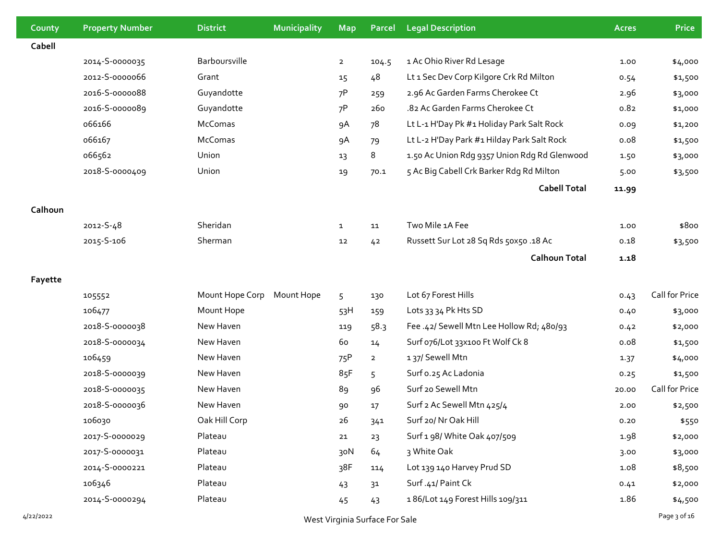| County    | <b>Property Number</b>         | <b>District</b> | <b>Municipality</b> | <b>Map</b>     | Parcel         | <b>Legal Description</b>                     | Acres | <b>Price</b>   |
|-----------|--------------------------------|-----------------|---------------------|----------------|----------------|----------------------------------------------|-------|----------------|
| Cabell    |                                |                 |                     |                |                |                                              |       |                |
|           | 2014-S-0000035                 | Barboursville   |                     | $\overline{2}$ | 104.5          | 1 Ac Ohio River Rd Lesage                    | 1.00  | \$4,000        |
|           | 2012-5-0000066                 | Grant           |                     | 15             | 48             | Lt 1 Sec Dev Corp Kilgore Crk Rd Milton      | 0.54  | \$1,500        |
|           | 2016-S-0000088                 | Guyandotte      |                     | 7P             | 259            | 2.96 Ac Garden Farms Cherokee Ct             | 2.96  | \$3,000        |
|           | 2016-S-0000089                 | Guyandotte      |                     | 7P             | 260            | .82 Ac Garden Farms Cherokee Ct              | 0.82  | \$1,000        |
|           | 066166                         | McComas         |                     | 9A             | 78             | Lt L-1 H'Day Pk #1 Holiday Park Salt Rock    | 0.09  | \$1,200        |
|           | 066167                         | McComas         |                     | 9A             | 79             | Lt L-2 H'Day Park #1 Hilday Park Salt Rock   | 0.08  | \$1,500        |
|           | 066562                         | Union           |                     | 13             | 8              | 1.50 Ac Union Rdg 9357 Union Rdg Rd Glenwood | 1.50  | \$3,000        |
|           | 2018-S-0000409                 | Union           |                     | 19             | 70.1           | 5 Ac Big Cabell Crk Barker Rdg Rd Milton     | 5.00  | \$3,500        |
|           |                                |                 |                     |                |                | <b>Cabell Total</b>                          | 11.99 |                |
| Calhoun   |                                |                 |                     |                |                |                                              |       |                |
|           | 2012-S-48                      | Sheridan        |                     | $\mathbf{1}$   | 11             | Two Mile 1A Fee                              | 1.00  | \$800          |
|           | 2015-5-106                     | Sherman         |                     | 12             | 42             | Russett Sur Lot 28 Sq Rds 50x50 .18 Ac       | 0.18  | \$3,500        |
|           |                                |                 |                     |                |                | <b>Calhoun Total</b>                         | 1.18  |                |
| Fayette   |                                |                 |                     |                |                |                                              |       |                |
|           | 105552                         | Mount Hope Corp | Mount Hope          | 5              | 130            | Lot 67 Forest Hills                          | 0.43  | Call for Price |
|           | 106477                         | Mount Hope      |                     | 53H            | 159            | Lots 33 34 Pk Hts SD                         | 0.40  | \$3,000        |
|           | 2018-5-0000038                 | New Haven       |                     | 119            | 58.3           | Fee .42/ Sewell Mtn Lee Hollow Rd; 480/93    | 0.42  | \$2,000        |
|           | 2018-5-0000034                 | New Haven       |                     | 60             | 14             | Surf 076/Lot 33x100 Ft Wolf Ck 8             | 0.08  | \$1,500        |
|           | 106459                         | New Haven       |                     | 75P            | $\overline{2}$ | 137/ Sewell Mtn                              | 1.37  | \$4,000        |
|           | 2018-S-0000039                 | New Haven       |                     | 85F            | 5              | Surf o.25 Ac Ladonia                         | 0.25  | \$1,500        |
|           | 2018-S-0000035                 | New Haven       |                     | 89             | 96             | Surf 20 Sewell Mtn                           | 20.00 | Call for Price |
|           | 2018-S-0000036                 | New Haven       |                     | 90             | 17             | Surf 2 Ac Sewell Mtn 425/4                   | 2.00  | \$2,500        |
|           | 106030                         | Oak Hill Corp   |                     | 26             | 341            | Surf 20/ Nr Oak Hill                         | 0.20  | \$550          |
|           | 2017-S-0000029                 | Plateau         |                     | 21             | 23             | Surf 1 98/ White Oak 407/509                 | 1.98  | \$2,000        |
|           | 2017-S-0000031                 | Plateau         |                     | 30N            | 64             | 3 White Oak                                  | 3.00  | \$3,000        |
|           | 2014-5-0000221                 | Plateau         |                     | 38F            | 114            | Lot 139 140 Harvey Prud SD                   | 1.08  | \$8,500        |
|           | 106346                         | Plateau         |                     | 43             | 31             | Surf.41/Paint Ck                             | 0.41  | \$2,000        |
|           | 2014-5-0000294                 | Plateau         |                     | 45             | 43             | 186/Lot 149 Forest Hills 109/311             | 1.86  | \$4,500        |
| 4/22/2022 | West Virginia Surface For Sale |                 |                     |                |                |                                              |       | Page 3 of 16   |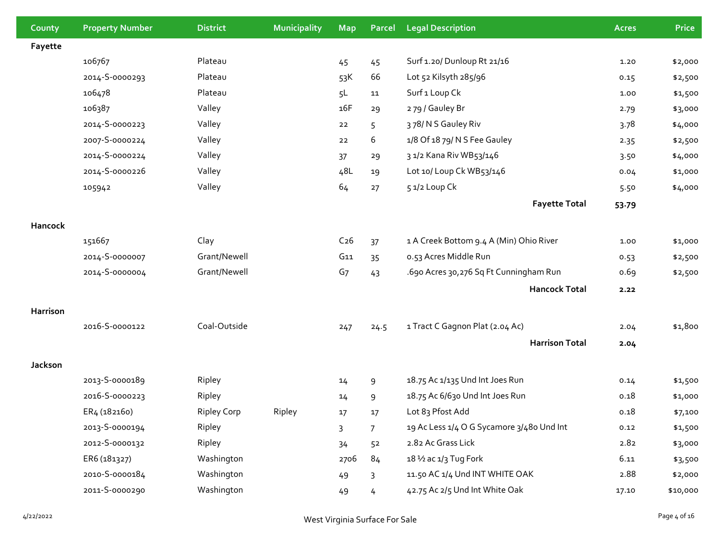| County   | <b>Property Number</b> | <b>District</b>    | Municipality | <b>Map</b>      | Parcel         | <b>Legal Description</b>                  | <b>Acres</b> | Price    |
|----------|------------------------|--------------------|--------------|-----------------|----------------|-------------------------------------------|--------------|----------|
| Fayette  |                        |                    |              |                 |                |                                           |              |          |
|          | 106767                 | Plateau            |              | 45              | 45             | Surf 1.20/ Dunloup Rt 21/16               | 1.20         | \$2,000  |
|          | 2014-S-0000293         | Plateau            |              | 53K             | 66             | Lot 52 Kilsyth 285/96                     | 0.15         | \$2,500  |
|          | 106478                 | Plateau            |              | 5L              | 11             | Surf <sub>1</sub> Loup Ck                 | 1.00         | \$1,500  |
|          | 106387                 | Valley             |              | 16F             | 29             | 279 / Gauley Br                           | 2.79         | \$3,000  |
|          | 2014-S-0000223         | Valley             |              | 22              | 5              | 378/NS Gauley Riv                         | 3.78         | \$4,000  |
|          | 2007-S-0000224         | Valley             |              | 22              | 6              | 1/8 Of 18 79/ N S Fee Gauley              | 2.35         | \$2,500  |
|          | 2014-5-0000224         | Valley             |              | 37              | 29             | 3 1/2 Kana Riv WB53/146                   | 3.50         | \$4,000  |
|          | 2014-5-0000226         | Valley             |              | 48L             | 19             | Lot 10/ Loup Ck WB53/146                  | 0.04         | \$1,000  |
|          | 105942                 | Valley             |              | 64              | 27             | 51/2 Loup Ck                              | 5.50         | \$4,000  |
|          |                        |                    |              |                 |                | <b>Fayette Total</b>                      | 53.79        |          |
| Hancock  |                        |                    |              |                 |                |                                           |              |          |
|          | 151667                 | Clay               |              | C <sub>26</sub> | 37             | 1 A Creek Bottom 9.4 A (Min) Ohio River   | 1.00         | \$1,000  |
|          | 2014-S-0000007         | Grant/Newell       |              | G11             | 35             | 0.53 Acres Middle Run                     | 0.53         | \$2,500  |
|          | 2014-5-0000004         | Grant/Newell       |              | G <sub>7</sub>  | 43             | .690 Acres 30,276 Sq Ft Cunningham Run    | 0.69         | \$2,500  |
|          |                        |                    |              |                 |                | <b>Hancock Total</b>                      | 2.22         |          |
| Harrison |                        |                    |              |                 |                |                                           |              |          |
|          | 2016-S-0000122         | Coal-Outside       |              | 247             | 24.5           | 1 Tract C Gagnon Plat (2.04 Ac)           | 2.04         | \$1,800  |
|          |                        |                    |              |                 |                | <b>Harrison Total</b>                     | 2.04         |          |
| Jackson  |                        |                    |              |                 |                |                                           |              |          |
|          | 2013-S-0000189         | Ripley             |              | 14              | 9              | 18.75 Ac 1/135 Und Int Joes Run           | 0.14         | \$1,500  |
|          | 2016-S-0000223         | Ripley             |              | 14              | 9              | 18.75 Ac 6/630 Und Int Joes Run           | 0.18         | \$1,000  |
|          | ER4 (182160)           | <b>Ripley Corp</b> | Ripley       | 17              | 17             | Lot 83 Pfost Add                          | 0.18         | \$7,100  |
|          | 2013-S-0000194         | Ripley             |              | 3               | $\overline{7}$ | 19 Ac Less 1/4 O G Sycamore 3/480 Und Int | 0.12         | \$1,500  |
|          | 2012-5-0000132         | Ripley             |              | 34              | 52             | 2.82 Ac Grass Lick                        | 2.82         | \$3,000  |
|          | ER6 (181327)           | Washington         |              | 2706            | 84             | 18 1/2 ac 1/3 Tug Fork                    | 6.11         | \$3,500  |
|          | 2010-S-0000184         | Washington         |              | 49              | 3              | 11.50 AC 1/4 Und INT WHITE OAK            | 2.88         | \$2,000  |
|          | 2011-S-0000290         | Washington         |              | 49              | 4              | 42.75 Ac 2/5 Und Int White Oak            | 17.10        | \$10,000 |
|          |                        |                    |              |                 |                |                                           |              |          |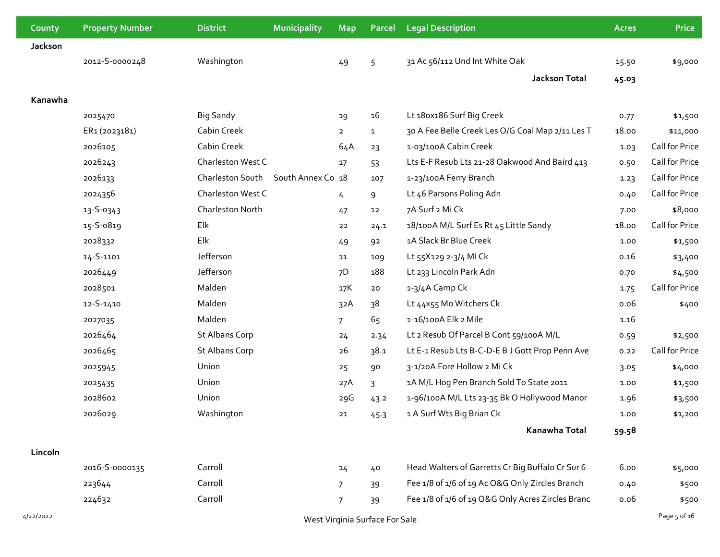| County    | <b>Property Number</b> | <b>District</b>       | Municipality      | <b>Map</b>     | Parcel                         | <b>Legal Description</b>                          | <b>Acres</b> | <b>Price</b>   |
|-----------|------------------------|-----------------------|-------------------|----------------|--------------------------------|---------------------------------------------------|--------------|----------------|
| Jackson   |                        |                       |                   |                |                                |                                                   |              |                |
|           | 2012-5-0000248         | Washington            |                   | 49             | 5                              | 31 Ac 56/112 Und Int White Oak                    | 15.50        | \$9,000        |
|           |                        |                       |                   |                |                                | <b>Jackson Total</b>                              | 45.03        |                |
| Kanawha   |                        |                       |                   |                |                                |                                                   |              |                |
|           | 2025470                | <b>Big Sandy</b>      |                   | 19             | 16                             | Lt 180x186 Surf Big Creek                         | 0.77         | \$1,500        |
|           | ER1 (2023181)          | Cabin Creek           |                   | $\overline{2}$ | $\mathbf{1}$                   | 30 A Fee Belle Creek Les O/G Coal Map 2/11 Les T  | 18.00        | \$11,000       |
|           | 2026105                | Cabin Creek           |                   | 64A            | 23                             | 1-03/100A Cabin Creek                             | 1.03         | Call for Price |
|           | 2026243                | Charleston West C     |                   | 17             | 53                             | Lts E-F Resub Lts 21-28 Oakwood And Baird 413     | 0.50         | Call for Price |
|           | 2026133                | Charleston South      | South Annex Co 18 |                | 107                            | 1-23/100A Ferry Branch                            | 1.23         | Call for Price |
|           | 2024356                | Charleston West C     |                   | 4              | 9                              | Lt 46 Parsons Poling Adn                          | 0.40         | Call for Price |
|           | 13-S-0343              | Charleston North      |                   | 47             | 12                             | 7A Surf 2 Mi Ck                                   | 7.00         | \$8,000        |
|           | 15-S-0819              | Elk                   |                   | 22             | 24.1                           | 18/100A M/L Surf Es Rt 45 Little Sandy            | 18.00        | Call for Price |
|           | 2028332                | Elk                   |                   | 49             | 92                             | 1A Slack Br Blue Creek                            | 1.00         | \$1,500        |
|           | 14-S-1101              | Jefferson             |                   | 11             | 109                            | Lt 55X129 2-3/4 MI Ck                             | 0.16         | \$3,400        |
|           | 2026449                | Jefferson             |                   | 7D             | 188                            | Lt 233 Lincoln Park Adn                           | 0.70         | \$4,500        |
|           | 2028501                | Malden                |                   | 17K            | 20                             | 1-3/4A Camp Ck                                    | 1.75         | Call for Price |
|           | 12-S-1410              | Malden                |                   | 32A            | 38                             | Lt 44x55 Mo Witchers Ck                           | 0.06         | \$400          |
|           | 2027035                | Malden                |                   | $\overline{7}$ | 65                             | 1-16/100A Elk 2 Mile                              | 1.16         |                |
|           | 2026464                | <b>St Albans Corp</b> |                   | 24             | 2.34                           | Lt 2 Resub Of Parcel B Cont 59/100A M/L           | 0.59         | \$2,500        |
|           | 2026465                | <b>St Albans Corp</b> |                   | 26             | 38.1                           | Lt E-1 Resub Lts B-C-D-E B J Gott Prop Penn Ave   | 0.22         | Call for Price |
|           | 2025945                | Union                 |                   | 25             | 90                             | 3-1/20A Fore Hollow 2 Mi Ck                       | 3.05         | \$4,000        |
|           | 2025435                | Union                 |                   | 27A            | 3                              | 1A M/L Hog Pen Branch Sold To State 2011          | 1.00         | \$1,500        |
|           | 2028602                | Union                 |                   | 29G            | 43.2                           | 1-96/100A M/L Lts 23-35 Bk O Hollywood Manor      | 1.96         | \$3,500        |
|           | 2026029                | Washington            |                   | 21             | 45.3                           | 1 A Surf Wts Big Brian Ck                         | 1.00         | \$1,200        |
|           |                        |                       |                   |                |                                | Kanawha Total                                     | 59.58        |                |
| Lincoln   |                        |                       |                   |                |                                |                                                   |              |                |
|           | 2016-S-0000135         | Carroll               |                   | 14             | 40                             | Head Walters of Garretts Cr Big Buffalo Cr Sur 6  | 6.00         | \$5,000        |
|           | 223644                 | Carroll               |                   | $\overline{7}$ | 39                             | Fee 1/8 of 1/6 of 19 Ac O&G Only Zircles Branch   | 0.40         | \$500          |
|           | 224632                 | Carroll               |                   | 7              | 39                             | Fee 1/8 of 1/6 of 19 O&G Only Acres Zircles Branc | 0.06         | \$500          |
| 4/22/2022 |                        |                       |                   |                | West Virginia Surface For Sale |                                                   |              | Page 5 of 16   |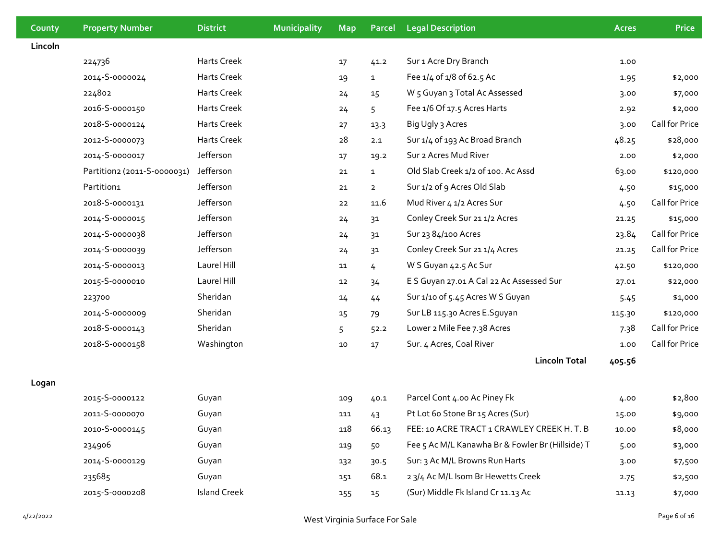| County  | <b>Property Number</b>      | <b>District</b>     | Municipality | <b>Map</b> | Parcel         | <b>Legal Description</b>                         | <b>Acres</b> | <b>Price</b>   |
|---------|-----------------------------|---------------------|--------------|------------|----------------|--------------------------------------------------|--------------|----------------|
| Lincoln |                             |                     |              |            |                |                                                  |              |                |
|         | 224736                      | Harts Creek         |              | 17         | 41.2           | Sur 1 Acre Dry Branch                            | 1.00         |                |
|         | 2014-5-0000024              | Harts Creek         |              | 19         | $\mathbf{1}$   | Fee 1/4 of 1/8 of 62.5 Ac                        | 1.95         | \$2,000        |
|         | 224802                      | Harts Creek         |              | 24         | 15             | W <sub>5</sub> Guyan 3 Total Ac Assessed         | 3.00         | \$7,000        |
|         | 2016-S-0000150              | Harts Creek         |              | 24         | 5              | Fee 1/6 Of 17.5 Acres Harts                      | 2.92         | \$2,000        |
|         | 2018-5-0000124              | Harts Creek         |              | 27         | 13.3           | Big Ugly 3 Acres                                 | 3.00         | Call for Price |
|         | 2012-S-0000073              | Harts Creek         |              | 28         | 2.1            | Sur 1/4 of 193 Ac Broad Branch                   | 48.25        | \$28,000       |
|         | 2014-S-0000017              | Jefferson           |              | 17         | 19.2           | Sur 2 Acres Mud River                            | 2.00         | \$2,000        |
|         | Partition2 (2011-S-0000031) | Jefferson           |              | 21         | $\mathbf{1}$   | Old Slab Creek 1/2 of 100. Ac Assd               | 63.00        | \$120,000      |
|         | Partition1                  | Jefferson           |              | 21         | $\overline{2}$ | Sur 1/2 of 9 Acres Old Slab                      | 4.50         | \$15,000       |
|         | 2018-5-0000131              | Jefferson           |              | 22         | 11.6           | Mud River 4 1/2 Acres Sur                        | 4.50         | Call for Price |
|         | 2014-5-0000015              | Jefferson           |              | 24         | 31             | Conley Creek Sur 21 1/2 Acres                    | 21.25        | \$15,000       |
|         | 2014-5-0000038              | Jefferson           |              | 24         | 31             | Sur 23 84/100 Acres                              | 23.84        | Call for Price |
|         | 2014-5-0000039              | Jefferson           |              | 24         | 31             | Conley Creek Sur 21 1/4 Acres                    | 21.25        | Call for Price |
|         | 2014-5-0000013              | Laurel Hill         |              | 11         | 4              | W S Guyan 42.5 Ac Sur                            | 42.50        | \$120,000      |
|         | 2015-S-0000010              | Laurel Hill         |              | 12         | 34             | E S Guyan 27.01 A Cal 22 Ac Assessed Sur         | 27.01        | \$22,000       |
|         | 223700                      | Sheridan            |              | 14         | 44             | Sur 1/10 of 5.45 Acres W S Guyan                 | 5.45         | \$1,000        |
|         | 2014-5-0000009              | Sheridan            |              | 15         | 79             | Sur LB 115.30 Acres E.Sguyan                     | 115.30       | \$120,000      |
|         | 2018-5-0000143              | Sheridan            |              | 5          | 52.2           | Lower 2 Mile Fee 7.38 Acres                      | 7.38         | Call for Price |
|         | 2018-5-0000158              | Washington          |              | 10         | 17             | Sur. 4 Acres, Coal River                         | 1.00         | Call for Price |
|         |                             |                     |              |            |                | <b>Lincoln Total</b>                             | 405.56       |                |
| Logan   |                             |                     |              |            |                |                                                  |              |                |
|         | 2015-S-0000122              | Guyan               |              | 109        | 40.1           | Parcel Cont 4.00 Ac Piney Fk                     | 4.00         | \$2,800        |
|         | 2011-S-0000070              | Guyan               |              | 111        | 43             | Pt Lot 60 Stone Br 15 Acres (Sur)                | 15.00        | \$9,000        |
|         | 2010-S-0000145              | Guyan               |              | 118        | 66.13          | FEE: 10 ACRE TRACT 1 CRAWLEY CREEK H. T. B       | 10.00        | \$8,000        |
|         | 234906                      | Guyan               |              | 119        | 50             | Fee 5 Ac M/L Kanawha Br & Fowler Br (Hillside) T | 5.00         | \$3,000        |
|         | 2014-S-0000129              | Guyan               |              | 132        | 30.5           | Sur: 3 Ac M/L Browns Run Harts                   | 3.00         | \$7,500        |
|         | 235685                      | Guyan               |              | 151        | 68.1           | 23/4 Ac M/L Isom Br Hewetts Creek                | 2.75         | \$2,500        |
|         | 2015-S-0000208              | <b>Island Creek</b> |              | 155        | 15             | (Sur) Middle Fk Island Cr 11.13 Ac               | 11.13        | \$7,000        |
|         |                             |                     |              |            |                |                                                  |              |                |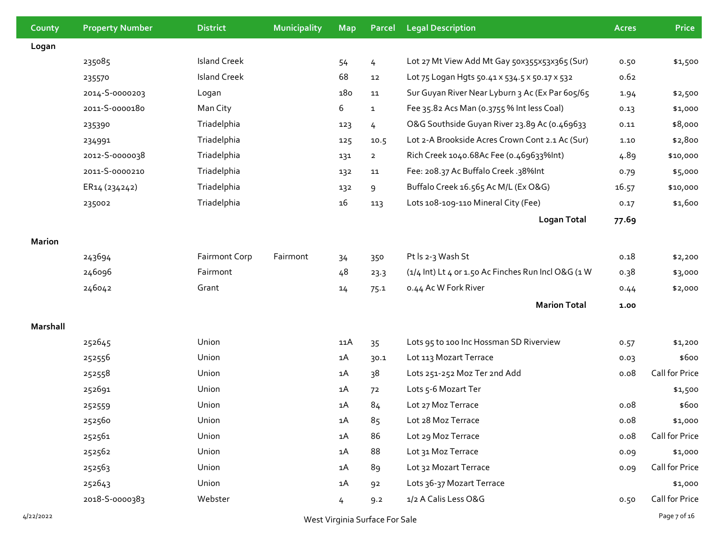| County        | <b>Property Number</b>         | <b>District</b>      | <b>Municipality</b> | <b>Map</b> | Parcel       | <b>Legal Description</b>                            | <b>Acres</b> | <b>Price</b>   |
|---------------|--------------------------------|----------------------|---------------------|------------|--------------|-----------------------------------------------------|--------------|----------------|
| Logan         |                                |                      |                     |            |              |                                                     |              |                |
|               | 235085                         | <b>Island Creek</b>  |                     | 54         | 4            | Lot 27 Mt View Add Mt Gay 50x355x53x365 (Sur)       | 0.50         | \$1,500        |
|               | 235570                         | <b>Island Creek</b>  |                     | 68         | 12           | Lot 75 Logan Hgts 50.41 x 534.5 x 50.17 x 532       | 0.62         |                |
|               | 2014-5-0000203                 | Logan                |                     | 180        | 11           | Sur Guyan River Near Lyburn 3 Ac (Ex Par 605/65     | 1.94         | \$2,500        |
|               | 2011-5-0000180                 | Man City             |                     | 6          | $\mathbf{1}$ | Fee 35.82 Acs Man (0.3755 % Int less Coal)          | 0.13         | \$1,000        |
|               | 235390                         | Triadelphia          |                     | 123        | 4            | O&G Southside Guyan River 23.89 Ac (0.469633        | 0.11         | \$8,000        |
|               | 234991                         | Triadelphia          |                     | 125        | 10.5         | Lot 2-A Brookside Acres Crown Cont 2.1 Ac (Sur)     | 1.10         | \$2,800        |
|               | 2012-5-0000038                 | Triadelphia          |                     | 131        | $2^{\circ}$  | Rich Creek 1040.68Ac Fee (0.469633%Int)             | 4.89         | \$10,000       |
|               | 2011-S-0000210                 | Triadelphia          |                     | 132        | 11           | Fee: 208.37 Ac Buffalo Creek.38%Int                 | 0.79         | \$5,000        |
|               | ER14 (234242)                  | Triadelphia          |                     | 132        | 9            | Buffalo Creek 16.565 Ac M/L (Ex O&G)                | 16.57        | \$10,000       |
|               | 235002                         | Triadelphia          |                     | 16         | 113          | Lots 108-109-110 Mineral City (Fee)                 | 0.17         | \$1,600        |
|               |                                |                      |                     |            |              | <b>Logan Total</b>                                  | 77.69        |                |
| <b>Marion</b> |                                |                      |                     |            |              |                                                     |              |                |
|               | 243694                         | <b>Fairmont Corp</b> | Fairmont            | 34         | 350          | Pt Is 2-3 Wash St                                   | 0.18         | \$2,200        |
|               | 246096                         | Fairmont             |                     | 48         | 23.3         | (1/4 Int) Lt 4 or 1.50 Ac Finches Run Incl O&G (1 W | 0.38         | \$3,000        |
|               | 246042                         | Grant                |                     | 14         | 75.1         | 0.44 Ac W Fork River                                | 0.44         | \$2,000        |
|               |                                |                      |                     |            |              | <b>Marion Total</b>                                 | 1.00         |                |
| Marshall      |                                |                      |                     |            |              |                                                     |              |                |
|               | 252645                         | Union                |                     | 11A        | 35           | Lots 95 to 100 Inc Hossman SD Riverview             | 0.57         | \$1,200        |
|               | 252556                         | Union                |                     | 1A         | 30.1         | Lot 113 Mozart Terrace                              | 0.03         | \$600          |
|               | 252558                         | Union                |                     | 1A         | 38           | Lots 251-252 Moz Ter 2nd Add                        | 0.08         | Call for Price |
|               | 252691                         | Union                |                     | 1A         | 72           | Lots 5-6 Mozart Ter                                 |              | \$1,500        |
|               | 252559                         | Union                |                     | 1A         | 84           | Lot 27 Moz Terrace                                  | 0.08         | \$600          |
|               | 252560                         | Union                |                     | 1A         | 85           | Lot 28 Moz Terrace                                  | 0.08         | \$1,000        |
|               | 252561                         | Union                |                     | 1A         | 86           | Lot 29 Moz Terrace                                  | 0.08         | Call for Price |
|               | 252562                         | Union                |                     | 1A         | 88           | Lot 31 Moz Terrace                                  | 0.09         | \$1,000        |
|               | 252563                         | Union                |                     | 1A         | 89           | Lot 32 Mozart Terrace                               | 0.09         | Call for Price |
|               | 252643                         | Union                |                     | 1A         | 92           | Lots 36-37 Mozart Terrace                           |              | \$1,000        |
|               | 2018-5-0000383                 | Webster              |                     | 4          | 9.2          | 1/2 A Calis Less O&G                                | 0.50         | Call for Price |
| 4/22/2022     | West Virginia Surface For Sale |                      |                     |            |              |                                                     |              |                |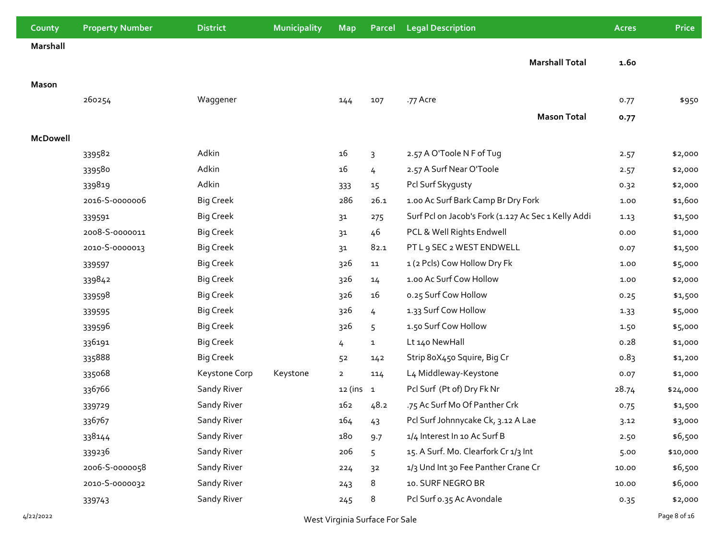| County          | <b>Property Number</b>         | <b>District</b>  | <b>Municipality</b> | <b>Map</b>     | Parcel         | <b>Legal Description</b>                            | <b>Acres</b> | <b>Price</b> |
|-----------------|--------------------------------|------------------|---------------------|----------------|----------------|-----------------------------------------------------|--------------|--------------|
| Marshall        |                                |                  |                     |                |                |                                                     |              |              |
|                 |                                |                  |                     |                |                | <b>Marshall Total</b>                               | 1.60         |              |
| <b>Mason</b>    |                                |                  |                     |                |                |                                                     |              |              |
|                 | 260254                         | Waggener         |                     | 144            | 107            | .77 Acre                                            | 0.77         | \$950        |
|                 |                                |                  |                     |                |                | <b>Mason Total</b>                                  | 0.77         |              |
|                 |                                |                  |                     |                |                |                                                     |              |              |
| <b>McDowell</b> |                                |                  |                     |                |                |                                                     |              |              |
|                 | 339582                         | Adkin            |                     | 16             | $\overline{3}$ | 2.57 A O'Toole N F of Tug                           | 2.57         | \$2,000      |
|                 | 339580                         | Adkin            |                     | 16             | $\overline{4}$ | 2.57 A Surf Near O'Toole                            | 2.57         | \$2,000      |
|                 | 339819                         | Adkin            |                     | 333            | 15             | Pcl Surf Skygusty                                   | 0.32         | \$2,000      |
|                 | 2016-S-0000006                 | <b>Big Creek</b> |                     | 286            | 26.1           | 1.00 Ac Surf Bark Camp Br Dry Fork                  | 1.00         | \$1,600      |
|                 | 339591                         | <b>Big Creek</b> |                     | 31             | 275            | Surf Pcl on Jacob's Fork (1.127 Ac Sec 1 Kelly Addi | 1.13         | \$1,500      |
|                 | 2008-S-0000011                 | <b>Big Creek</b> |                     | 31             | 46             | PCL & Well Rights Endwell                           | 0.00         | \$1,000      |
|                 | 2010-S-0000013                 | <b>Big Creek</b> |                     | 31             | 82.1           | PT L 9 SEC 2 WEST ENDWELL                           | 0.07         | \$1,500      |
|                 | 339597                         | <b>Big Creek</b> |                     | 326            | 11             | 1 (2 Pcls) Cow Hollow Dry Fk                        | 1.00         | \$5,000      |
|                 | 339842                         | <b>Big Creek</b> |                     | 326            | 14             | 1.00 Ac Surf Cow Hollow                             | 1.00         | \$2,000      |
|                 | 339598                         | <b>Big Creek</b> |                     | 326            | 16             | o.25 Surf Cow Hollow                                | 0.25         | \$1,500      |
|                 | 339595                         | <b>Big Creek</b> |                     | 326            | $\frac{1}{2}$  | 1.33 Surf Cow Hollow                                | 1.33         | \$5,000      |
|                 | 339596                         | <b>Big Creek</b> |                     | 326            | 5              | 1.50 Surf Cow Hollow                                | 1.50         | \$5,000      |
|                 | 336191                         | <b>Big Creek</b> |                     | 4              | $\mathbf{1}$   | Lt 140 NewHall                                      | 0.28         | \$1,000      |
|                 | 335888                         | <b>Big Creek</b> |                     | 52             | 142            | Strip 8oX45o Squire, Big Cr                         | 0.83         | \$1,200      |
|                 | 335068                         | Keystone Corp    | Keystone            | $\overline{2}$ | 114            | L4 Middleway-Keystone                               | 0.07         | \$1,000      |
|                 | 336766                         | Sandy River      |                     | $12$ (ins $1$  |                | Pcl Surf (Pt of) Dry Fk Nr                          | 28.74        | \$24,000     |
|                 | 339729                         | Sandy River      |                     | 162            | 48.2           | .75 Ac Surf Mo Of Panther Crk                       | 0.75         | \$1,500      |
|                 | 336767                         | Sandy River      |                     | 164            | 43             | Pcl Surf Johnnycake Ck, 3.12 A Lae                  | 3.12         | \$3,000      |
|                 | 338144                         | Sandy River      |                     | 180            | 9.7            | 1/4 Interest In 10 Ac Surf B                        | 2.50         | \$6,500      |
|                 | 339236                         | Sandy River      |                     | 206            | 5              | 15. A Surf. Mo. Clearfork Cr 1/3 Int                | 5.00         | \$10,000     |
|                 | 2006-S-0000058                 | Sandy River      |                     | 224            | 3 <sup>2</sup> | 1/3 Und Int 30 Fee Panther Crane Cr                 | 10.00        | \$6,500      |
|                 | 2010-S-0000032                 | Sandy River      |                     | 243            | 8              | 10. SURF NEGRO BR                                   | 10.00        | \$6,000      |
|                 | 339743                         | Sandy River      |                     | 245            | 8              | Pcl Surf 0.35 Ac Avondale                           | 0.35         | \$2,000      |
| 4/22/2022       | West Virginia Surface For Sale |                  |                     |                |                |                                                     |              | Page 8 of 16 |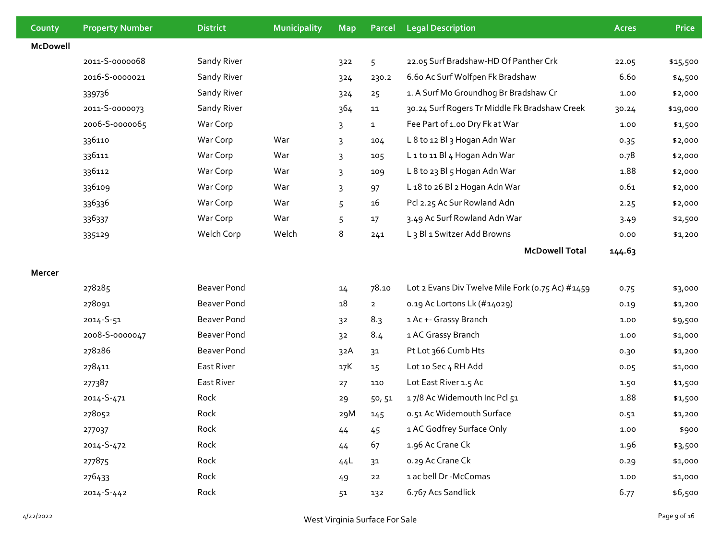| County          | <b>Property Number</b> | <b>District</b>    | Municipality | <b>Map</b>     | Parcel         | <b>Legal Description</b>                          | <b>Acres</b> | <b>Price</b> |
|-----------------|------------------------|--------------------|--------------|----------------|----------------|---------------------------------------------------|--------------|--------------|
| <b>McDowell</b> |                        |                    |              |                |                |                                                   |              |              |
|                 | 2011-S-0000068         | Sandy River        |              | 322            | 5              | 22.05 Surf Bradshaw-HD Of Panther Crk             | 22.05        | \$15,500     |
|                 | 2016-5-0000021         | Sandy River        |              | 324            | 230.2          | 6.60 Ac Surf Wolfpen Fk Bradshaw                  | 6.60         | \$4,500      |
|                 | 339736                 | Sandy River        |              | 324            | 25             | 1. A Surf Mo Groundhog Br Bradshaw Cr             | 1.00         | \$2,000      |
|                 | 2011-S-0000073         | Sandy River        |              | 364            | 11             | 30.24 Surf Rogers Tr Middle Fk Bradshaw Creek     | 30.24        | \$19,000     |
|                 | 2006-S-0000065         | War Corp           |              | 3              | $\mathbf{1}$   | Fee Part of 1.00 Dry Fk at War                    | 1.00         | \$1,500      |
|                 | 336110                 | War Corp           | War          | 3              | 104            | L 8 to 12 Bl 3 Hogan Adn War                      | 0.35         | \$2,000      |
|                 | 336111                 | War Corp           | War          | 3              | 105            | L1 to 11 Bl4 Hogan Adn War                        | 0.78         | \$2,000      |
|                 | 336112                 | War Corp           | War          | 3              | 109            | L 8 to 23 Bl 5 Hogan Adn War                      | 1.88         | \$2,000      |
|                 | 336109                 | War Corp           | War          | 3              | 97             | L 18 to 26 Bl 2 Hogan Adn War                     | 0.61         | \$2,000      |
|                 | 336336                 | War Corp           | War          | 5              | 16             | Pcl 2.25 Ac Sur Rowland Adn                       | 2.25         | \$2,000      |
|                 | 336337                 | War Corp           | War          | 5              | 17             | 3.49 Ac Surf Rowland Adn War                      | 3.49         | \$2,500      |
|                 | 335129                 | Welch Corp         | Welch        | 8              | 241            | L <sub>3</sub> Bl <sub>1</sub> Switzer Add Browns | 0.00         | \$1,200      |
|                 |                        |                    |              |                |                | <b>McDowell Total</b>                             | 144.63       |              |
| Mercer          |                        |                    |              |                |                |                                                   |              |              |
|                 | 278285                 | <b>Beaver Pond</b> |              | 14             | 78.10          | Lot 2 Evans Div Twelve Mile Fork (0.75 Ac) #1459  | 0.75         | \$3,000      |
|                 | 278091                 | <b>Beaver Pond</b> |              | 18             | $\overline{2}$ | 0.19 Ac Lortons Lk (#14029)                       | 0.19         | \$1,200      |
|                 | 2014-S-51              | <b>Beaver Pond</b> |              | 3 <sup>2</sup> | 8.3            | 1 Ac +- Grassy Branch                             | 1.00         | \$9,500      |
|                 | 2008-S-0000047         | <b>Beaver Pond</b> |              | 3 <sup>2</sup> | 8.4            | 1 AC Grassy Branch                                | 1.00         | \$1,000      |
|                 | 278286                 | <b>Beaver Pond</b> |              | 32A            | 31             | Pt Lot 366 Cumb Hts                               | 0.30         | \$1,200      |
|                 | 278411                 | East River         |              | 17K            | 15             | Lot 10 Sec 4 RH Add                               | 0.05         | \$1,000      |
|                 | 277387                 | East River         |              | 27             | 110            | Lot East River 1.5 Ac                             | 1.50         | \$1,500      |
|                 | 2014-S-471             | Rock               |              | 29             | 50,51          | 17/8 Ac Widemouth Inc Pcl 51                      | 1.88         | \$1,500      |
|                 | 278052                 | Rock               |              | 29M            | 145            | 0.51 Ac Widemouth Surface                         | 0.51         | \$1,200      |
|                 | 277037                 | Rock               |              | 44             | 45             | 1 AC Godfrey Surface Only                         | 1.00         | \$900        |
|                 | 2014-S-472             | Rock               |              | 44             | 67             | 1.96 Ac Crane Ck                                  | 1.96         | \$3,500      |
|                 | 277875                 | Rock               |              | 44L            | 31             | 0.29 Ac Crane Ck                                  | 0.29         | \$1,000      |
|                 | 276433                 | Rock               |              | 49             | 22             | 1 ac bell Dr -McComas                             | 1.00         | \$1,000      |
|                 | 2014-S-442             | Rock               |              | 51             | 132            | 6.767 Acs Sandlick                                | 6.77         | \$6,500      |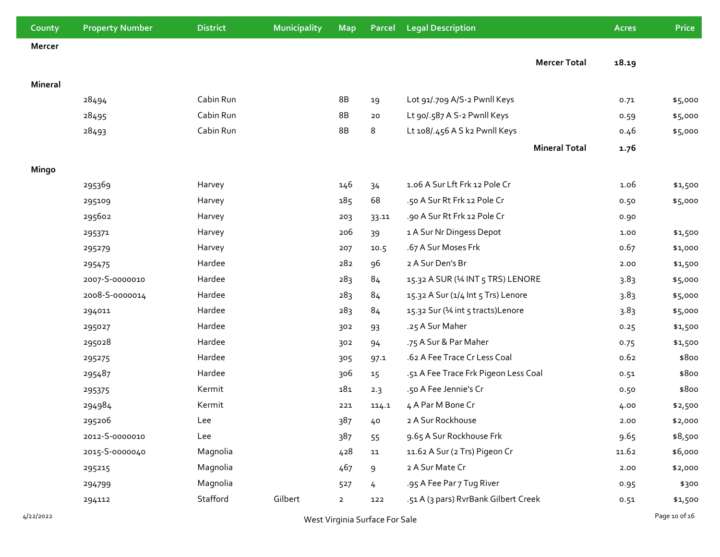| County  | <b>Property Number</b> | <b>District</b> | Municipality | <b>Map</b>     | <b>Parcel</b> | <b>Legal Description</b>             |                      | <b>Acres</b> | <b>Price</b> |
|---------|------------------------|-----------------|--------------|----------------|---------------|--------------------------------------|----------------------|--------------|--------------|
| Mercer  |                        |                 |              |                |               |                                      |                      |              |              |
|         |                        |                 |              |                |               |                                      | <b>Mercer Total</b>  | 18.19        |              |
| Mineral |                        |                 |              |                |               |                                      |                      |              |              |
|         | 28494                  | Cabin Run       |              | 8B             | 19            | Lot 91/.709 A/S-2 Pwnll Keys         |                      | 0.71         | \$5,000      |
|         | 28495                  | Cabin Run       |              | 8B             | 20            | Lt 90/.587 A S-2 Pwnll Keys          |                      | 0.59         | \$5,000      |
|         | 28493                  | Cabin Run       |              | 8B             | 8             | Lt 108/.456 A S k2 Pwnll Keys        |                      | 0.46         | \$5,000      |
|         |                        |                 |              |                |               |                                      | <b>Mineral Total</b> | 1.76         |              |
|         |                        |                 |              |                |               |                                      |                      |              |              |
| Mingo   |                        |                 |              |                |               |                                      |                      |              |              |
|         | 295369                 | Harvey          |              | 146            | 34            | 1.06 A Sur Lft Frk 12 Pole Cr        |                      | 1.06         | \$1,500      |
|         | 295109                 | Harvey          |              | 185            | 68            | .50 A Sur Rt Frk 12 Pole Cr          |                      | 0.50         | \$5,000      |
|         | 295602                 | Harvey          |              | 203            | 33.11         | .90 A Sur Rt Frk 12 Pole Cr          |                      | 0.90         |              |
|         | 295371                 | Harvey          |              | 206            | 39            | 1 A Sur Nr Dingess Depot             |                      | 1.00         | \$1,500      |
|         | 295279                 | Harvey          |              | 207            | 10.5          | .67 A Sur Moses Frk                  |                      | 0.67         | \$1,000      |
|         | 295475                 | Hardee          |              | 282            | 96            | 2 A Sur Den's Br                     |                      | 2.00         | \$1,500      |
|         | 2007-S-0000010         | Hardee          |              | 283            | 84            | 15.32 A SUR (14 INT 5 TRS) LENORE    |                      | 3.83         | \$5,000      |
|         | 2008-5-0000014         | Hardee          |              | 283            | 84            | 15.32 A Sur (1/4 Int 5 Trs) Lenore   |                      | 3.83         | \$5,000      |
|         | 294011                 | Hardee          |              | 283            | 84            | 15.32 Sur (1⁄4 int 5 tracts) Lenore  |                      | 3.83         | \$5,000      |
|         | 295027                 | Hardee          |              | 302            | 93            | .25 A Sur Maher                      |                      | 0.25         | \$1,500      |
|         | 295028                 | Hardee          |              | 302            | 94            | .75 A Sur & Par Maher                |                      | 0.75         | \$1,500      |
|         | 295275                 | Hardee          |              | 305            | 97.1          | .62 A Fee Trace Cr Less Coal         |                      | 0.62         | \$800        |
|         | 295487                 | Hardee          |              | 306            | 15            | .51 A Fee Trace Frk Pigeon Less Coal |                      | 0.51         | \$800        |
|         | 295375                 | Kermit          |              | 181            | 2.3           | .50 A Fee Jennie's Cr                |                      | 0.50         | \$800        |
|         | 294984                 | Kermit          |              | 221            | 114.1         | 4 A Par M Bone Cr                    |                      | 4.00         | \$2,500      |
|         | 295206                 | Lee             |              | 387            | 40            | 2 A Sur Rockhouse                    |                      | 2.00         | \$2,000      |
|         | 2012-5-0000010         | Lee             |              | 387            | 55            | 9.65 A Sur Rockhouse Frk             |                      | 9.65         | \$8,500      |
|         | 2015-S-0000040         | Magnolia        |              | 428            | ${\bf 11}$    | 11.62 A Sur (2 Trs) Pigeon Cr        |                      | 11.62        | \$6,000      |
|         | 295215                 | Magnolia        |              | 467            | 9             | 2 A Sur Mate Cr                      |                      | 2.00         | \$2,000      |
|         | 294799                 | Magnolia        |              | 527            | 4             | .95 A Fee Par 7 Tug River            |                      | 0.95         | \$300        |
|         | 294112                 | Stafford        | Gilbert      | $\overline{2}$ | 122           | .51 A (3 pars) RvrBank Gilbert Creek |                      | 0.51         | \$1,500      |
|         |                        |                 |              |                |               |                                      |                      |              |              |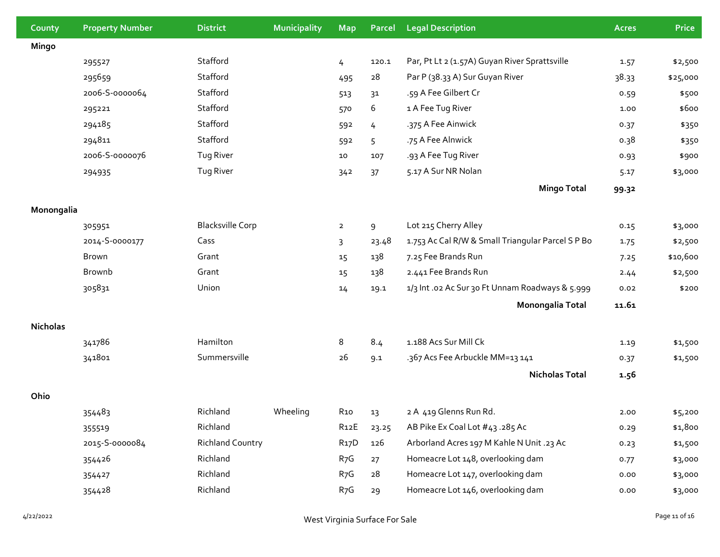| County          | <b>Property Number</b> | <b>District</b>         | Municipality | <b>Map</b>        | Parcel | <b>Legal Description</b>                          | <b>Acres</b> | <b>Price</b> |
|-----------------|------------------------|-------------------------|--------------|-------------------|--------|---------------------------------------------------|--------------|--------------|
| Mingo           |                        |                         |              |                   |        |                                                   |              |              |
|                 | 295527                 | Stafford                |              | 4                 | 120.1  | Par, Pt Lt 2 (1.57A) Guyan River Sprattsville     | 1.57         | \$2,500      |
|                 | 295659                 | Stafford                |              | 495               | 28     | Par P (38.33 A) Sur Guyan River                   | 38.33        | \$25,000     |
|                 | 2006-S-0000064         | Stafford                |              | 513               | 31     | .59 A Fee Gilbert Cr                              | 0.59         | \$500        |
|                 | 295221                 | Stafford                |              | 570               | 6      | 1 A Fee Tug River                                 | 1.00         | \$600        |
|                 | 294185                 | Stafford                |              | 592               | 4      | .375 A Fee Ainwick                                | 0.37         | \$350        |
|                 | 294811                 | Stafford                |              | 592               | 5      | .75 A Fee Alnwick                                 | 0.38         | \$350        |
|                 | 2006-S-0000076         | Tug River               |              | 10                | 107    | .93 A Fee Tug River                               | 0.93         | \$900        |
|                 | 294935                 | Tug River               |              | 342               | 37     | 5.17 A Sur NR Nolan                               | 5.17         | \$3,000      |
|                 |                        |                         |              |                   |        | <b>Mingo Total</b>                                | 99.32        |              |
| Monongalia      |                        |                         |              |                   |        |                                                   |              |              |
|                 | 305951                 | <b>Blacksville Corp</b> |              | $\overline{2}$    | 9      | Lot 215 Cherry Alley                              | 0.15         | \$3,000      |
|                 | 2014-S-0000177         | Cass                    |              | 3                 | 23.48  | 1.753 Ac Cal R/W & Small Triangular Parcel S P Bo | 1.75         | \$2,500      |
|                 | Brown                  | Grant                   |              | 15                | 138    | 7.25 Fee Brands Run                               | 7.25         | \$10,600     |
|                 | <b>Brownb</b>          | Grant                   |              | 15                | 138    | 2.441 Fee Brands Run                              | 2.44         | \$2,500      |
|                 | 305831                 | Union                   |              | 14                | 19.1   | 1/3 Int .02 Ac Sur 30 Ft Unnam Roadways & 5.999   | 0.02         | \$200        |
|                 |                        |                         |              |                   |        | <b>Monongalia Total</b>                           | 11.61        |              |
| <b>Nicholas</b> |                        |                         |              |                   |        |                                                   |              |              |
|                 | 341786                 | Hamilton                |              | 8                 | 8.4    | 1.188 Acs Sur Mill Ck                             | 1.19         | \$1,500      |
|                 | 341801                 | Summersville            |              | 26                | 9.1    | .367 Acs Fee Arbuckle MM=13 141                   | 0.37         | \$1,500      |
|                 |                        |                         |              |                   |        | <b>Nicholas Total</b>                             | 1.56         |              |
| Ohio            |                        |                         |              |                   |        |                                                   |              |              |
|                 | 354483                 | Richland                | Wheeling     | R <sub>10</sub>   | 13     | 2 A 419 Glenns Run Rd.                            | 2.00         | \$5,200      |
|                 | 355519                 | Richland                |              | R <sub>12</sub> E | 23.25  | AB Pike Ex Coal Lot #43.285 Ac                    | 0.29         | \$1,800      |
|                 | 2015-S-0000084         | <b>Richland Country</b> |              | R <sub>17</sub> D | 126    | Arborland Acres 197 M Kahle N Unit .23 Ac         | 0.23         | \$1,500      |
|                 | 354426                 | Richland                |              | R <sub>7</sub> G  | 27     | Homeacre Lot 148, overlooking dam                 | 0.77         | \$3,000      |
|                 | 354427                 | Richland                |              | R <sub>7</sub> G  | 28     | Homeacre Lot 147, overlooking dam                 | 0.00         | \$3,000      |
|                 | 354428                 | Richland                |              | R <sub>7</sub> G  | 29     | Homeacre Lot 146, overlooking dam                 | 0.00         | \$3,000      |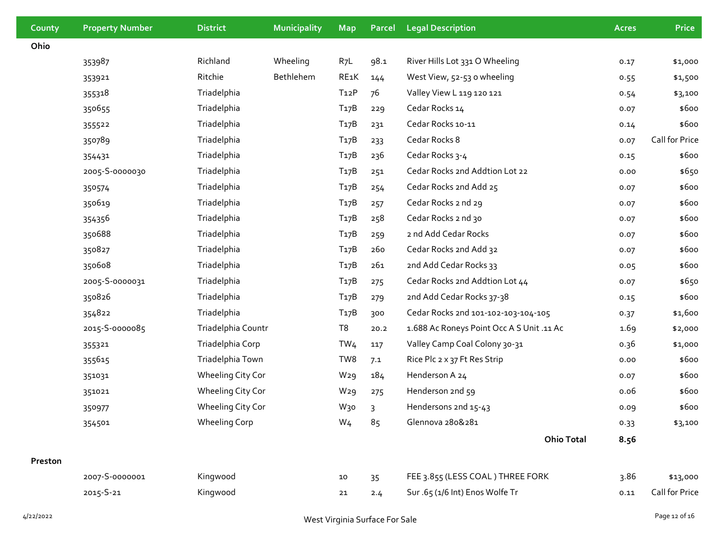| County  | <b>Property Number</b> | <b>District</b>      | Municipality | <b>Map</b>        | <b>Parcel</b> | <b>Legal Description</b>                  | <b>Acres</b> | <b>Price</b>   |
|---------|------------------------|----------------------|--------------|-------------------|---------------|-------------------------------------------|--------------|----------------|
| Ohio    |                        |                      |              |                   |               |                                           |              |                |
|         | 353987                 | Richland             | Wheeling     | $R_7L$            | 98.1          | River Hills Lot 331 O Wheeling            | 0.17         | \$1,000        |
|         | 353921                 | Ritchie              | Bethlehem    | RE1K              | 144           | West View, 52-53 o wheeling               | 0.55         | \$1,500        |
|         | 355318                 | Triadelphia          |              | T <sub>12</sub> P | 76            | Valley View L 119 120 121                 | 0.54         | \$3,100        |
|         | 350655                 | Triadelphia          |              | T <sub>17</sub> B | 229           | Cedar Rocks 14                            | 0.07         | \$600          |
|         | 355522                 | Triadelphia          |              | T <sub>17</sub> B | 231           | Cedar Rocks 10-11                         | 0.14         | \$600          |
|         | 350789                 | Triadelphia          |              | T <sub>17</sub> B | 233           | Cedar Rocks 8                             | 0.07         | Call for Price |
|         | 354431                 | Triadelphia          |              | T <sub>17</sub> B | 236           | Cedar Rocks 3-4                           | 0.15         | \$600          |
|         | 2005-S-0000030         | Triadelphia          |              | T <sub>17</sub> B | 251           | Cedar Rocks 2nd Addtion Lot 22            | 0.00         | \$650          |
|         | 350574                 | Triadelphia          |              | T <sub>17</sub> B | 254           | Cedar Rocks 2nd Add 25                    | 0.07         | \$600          |
|         | 350619                 | Triadelphia          |              | T <sub>17</sub> B | 257           | Cedar Rocks 2 nd 29                       | 0.07         | \$600          |
|         | 354356                 | Triadelphia          |              | T <sub>17</sub> B | 258           | Cedar Rocks 2 nd 30                       | 0.07         | \$600          |
|         | 350688                 | Triadelphia          |              | T <sub>17</sub> B | 259           | 2 nd Add Cedar Rocks                      | 0.07         | \$600          |
|         | 350827                 | Triadelphia          |              | T <sub>17</sub> B | 260           | Cedar Rocks 2nd Add 32                    | 0.07         | \$600          |
|         | 350608                 | Triadelphia          |              | T <sub>17</sub> B | 261           | 2nd Add Cedar Rocks 33                    | 0.05         | \$600          |
|         | 2005-S-0000031         | Triadelphia          |              | T <sub>17</sub> B | 275           | Cedar Rocks 2nd Addtion Lot 44            | 0.07         | \$650          |
|         | 350826                 | Triadelphia          |              | T <sub>17</sub> B | 279           | 2nd Add Cedar Rocks 37-38                 | 0.15         | \$600          |
|         | 354822                 | Triadelphia          |              | T <sub>17</sub> B | 300           | Cedar Rocks 2nd 101-102-103-104-105       | 0.37         | \$1,600        |
|         | 2015-S-0000085         | Triadelphia Countr   |              | T8                | 20.2          | 1.688 Ac Roneys Point Occ A S Unit .11 Ac | 1.69         | \$2,000        |
|         | 355321                 | Triadelphia Corp     |              | TW <sub>4</sub>   | 117           | Valley Camp Coal Colony 30-31             | 0.36         | \$1,000        |
|         | 355615                 | Triadelphia Town     |              | TW8               | 7.1           | Rice Plc 2 x 37 Ft Res Strip              | 0.00         | \$600          |
|         | 351031                 | Wheeling City Cor    |              | W <sub>29</sub>   | 184           | Henderson A 24                            | 0.07         | \$600          |
|         | 351021                 | Wheeling City Cor    |              | W <sub>29</sub>   | 275           | Henderson 2nd 59                          | 0.06         | \$600          |
|         | 350977                 | Wheeling City Cor    |              | W <sub>30</sub>   | 3             | Hendersons 2nd 15-43                      | 0.09         | \$600          |
|         | 354501                 | <b>Wheeling Corp</b> |              | W <sub>4</sub>    | 85            | Glennova 280&281                          | 0.33         | \$3,100        |
|         |                        |                      |              |                   |               | <b>Ohio Total</b>                         | 8.56         |                |
| Preston |                        |                      |              |                   |               |                                           |              |                |
|         | 2007-S-0000001         | Kingwood             |              | 10                | 35            | FEE 3.855 (LESS COAL) THREE FORK          | 3.86         | \$13,000       |
|         | 2015-S-21              | Kingwood             |              | 21                | 2.4           | Sur .65 (1/6 Int) Enos Wolfe Tr           | 0.11         | Call for Price |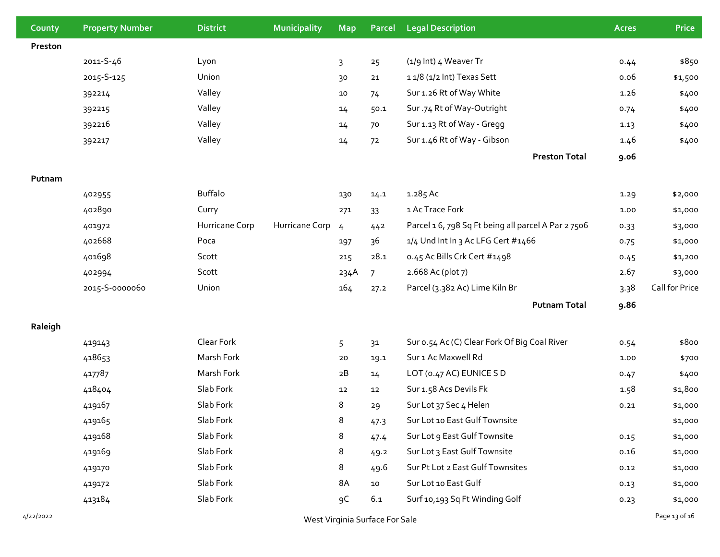| County    | <b>Property Number</b>         | <b>District</b> | <b>Municipality</b> | <b>Map</b>     | <b>Parcel</b>  | <b>Legal Description</b>                            | <b>Acres</b> | <b>Price</b>   |
|-----------|--------------------------------|-----------------|---------------------|----------------|----------------|-----------------------------------------------------|--------------|----------------|
| Preston   |                                |                 |                     |                |                |                                                     |              |                |
|           | 2011-S-46                      | Lyon            |                     | $\overline{3}$ | 25             | (1/9 Int) 4 Weaver Tr                               | 0.44         | \$850          |
|           | 2015-S-125                     | Union           |                     | 30             | 21             | 11/8 (1/2 Int) Texas Sett                           | 0.06         | \$1,500        |
|           | 392214                         | Valley          |                     | 10             | 74             | Sur 1.26 Rt of Way White                            | 1.26         | \$400          |
|           | 392215                         | Valley          |                     | 14             | 50.1           | Sur .74 Rt of Way-Outright                          | 0.74         | \$400          |
|           | 392216                         | Valley          |                     | 14             | 70             | Sur 1.13 Rt of Way - Gregg                          | 1.13         | \$400          |
|           | 392217                         | Valley          |                     | 14             | 72             | Sur 1.46 Rt of Way - Gibson                         | 1.46         | \$400          |
|           |                                |                 |                     |                |                | <b>Preston Total</b>                                | 9.06         |                |
| Putnam    |                                |                 |                     |                |                |                                                     |              |                |
|           | 402955                         | Buffalo         |                     | 130            | 14.1           | 1.285 Ac                                            | 1.29         | \$2,000        |
|           | 402890                         | Curry           |                     | 271            | 33             | 1 Ac Trace Fork                                     | 1.00         | \$1,000        |
|           | 401972                         | Hurricane Corp  | Hurricane Corp      | $\overline{4}$ | 442            | Parcel 1 6, 798 Sq Ft being all parcel A Par 2 7506 | 0.33         | \$3,000        |
|           | 402668                         | Poca            |                     | 197            | 36             | 1/4 Und Int In 3 Ac LFG Cert #1466                  | 0.75         | \$1,000        |
|           | 401698                         | Scott           |                     | 215            | 28.1           | 0.45 Ac Bills Crk Cert #1498                        | 0.45         | \$1,200        |
|           | 402994                         | Scott           |                     | 234A           | $\overline{7}$ | 2.668 Ac (plot 7)                                   | 2.67         | \$3,000        |
|           | 2015-S-0000060                 | Union           |                     | 164            | 27.2           | Parcel (3.382 Ac) Lime Kiln Br                      | 3.38         | Call for Price |
|           |                                |                 |                     |                |                | <b>Putnam Total</b>                                 | 9.86         |                |
| Raleigh   |                                |                 |                     |                |                |                                                     |              |                |
|           | 419143                         | Clear Fork      |                     | 5              | 31             | Sur o.54 Ac (C) Clear Fork Of Big Coal River        | 0.54         | \$800          |
|           | 418653                         | Marsh Fork      |                     | 20             | 19.1           | Sur 1 Ac Maxwell Rd                                 | 1.00         | \$700          |
|           | 417787                         | Marsh Fork      |                     | 2B             | 14             | LOT (0.47 AC) EUNICE S D                            | 0.47         | \$400          |
|           | 418404                         | Slab Fork       |                     | 12             | 12             | Sur 1.58 Acs Devils Fk                              | 1.58         | \$1,800        |
|           | 419167                         | Slab Fork       |                     | 8              | 29             | Sur Lot 37 Sec 4 Helen                              | 0.21         | \$1,000        |
|           | 419165                         | Slab Fork       |                     | 8              | 47.3           | Sur Lot 10 East Gulf Townsite                       |              | \$1,000        |
|           | 419168                         | Slab Fork       |                     | 8              | 47.4           | Sur Lot 9 East Gulf Townsite                        | 0.15         | \$1,000        |
|           | 419169                         | Slab Fork       |                     | 8              | 49.2           | Sur Lot 3 East Gulf Townsite                        | 0.16         | \$1,000        |
|           | 419170                         | Slab Fork       |                     | 8              | 49.6           | Sur Pt Lot 2 East Gulf Townsites                    | 0.12         | \$1,000        |
|           | 419172                         | Slab Fork       |                     | 8A             | 10             | Sur Lot 10 East Gulf                                | 0.13         | \$1,000        |
|           | 413184                         | Slab Fork       |                     | 9C             | 6.1            | Surf 10,193 Sq Ft Winding Golf                      | 0.23         | \$1,000        |
| 4/22/2022 | West Virginia Surface For Sale |                 |                     |                |                |                                                     |              | Page 13 of 16  |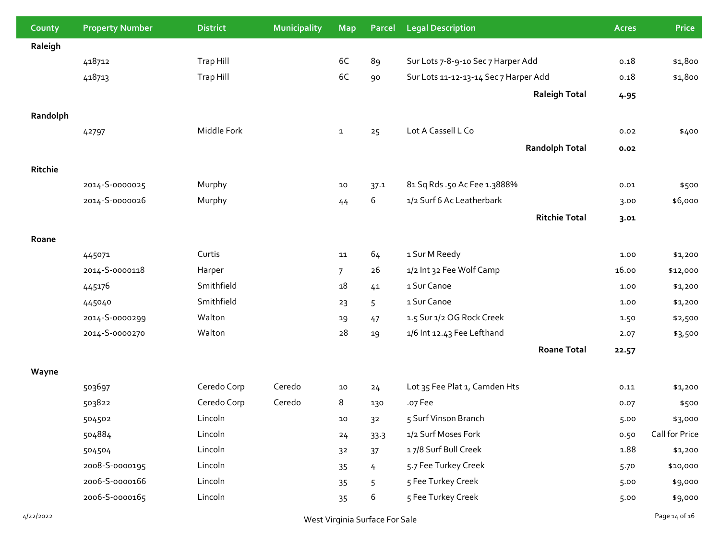| County    | <b>Property Number</b> | <b>District</b> | <b>Municipality</b> | <b>Map</b>     | Parcel                         | <b>Legal Description</b>              | <b>Acres</b> | <b>Price</b>   |
|-----------|------------------------|-----------------|---------------------|----------------|--------------------------------|---------------------------------------|--------------|----------------|
| Raleigh   |                        |                 |                     |                |                                |                                       |              |                |
|           | 418712                 | Trap Hill       |                     | 6C             | 89                             | Sur Lots 7-8-9-10 Sec 7 Harper Add    | 0.18         | \$1,800        |
|           | 418713                 | Trap Hill       |                     | 6C             | 90                             | Sur Lots 11-12-13-14 Sec 7 Harper Add | 0.18         | \$1,800        |
|           |                        |                 |                     |                |                                | <b>Raleigh Total</b>                  | 4.95         |                |
| Randolph  |                        |                 |                     |                |                                |                                       |              |                |
|           | 42797                  | Middle Fork     |                     | $\mathbf{1}$   | 25                             | Lot A Cassell L Co                    | 0.02         | \$400          |
|           |                        |                 |                     |                |                                | <b>Randolph Total</b>                 | 0.02         |                |
|           |                        |                 |                     |                |                                |                                       |              |                |
| Ritchie   |                        |                 |                     |                |                                |                                       |              |                |
|           | 2014-5-0000025         | Murphy          |                     | 10             | 37.1                           | 81 Sq Rds .50 Ac Fee 1.3888%          | 0.01         | \$500          |
|           | 2014-5-0000026         | Murphy          |                     | 44             | 6                              | 1/2 Surf 6 Ac Leatherbark             | 3.00         | \$6,000        |
|           |                        |                 |                     |                |                                | <b>Ritchie Total</b>                  | 3.01         |                |
| Roane     |                        |                 |                     |                |                                |                                       |              |                |
|           | 445071                 | Curtis          |                     | 11             | 64                             | 1 Sur M Reedy                         | 1.00         | \$1,200        |
|           | 2014-S-0000118         | Harper          |                     | $\overline{7}$ | 26                             | 1/2 Int 32 Fee Wolf Camp              | 16.00        | \$12,000       |
|           | 445176                 | Smithfield      |                     | 18             | 41                             | 1 Sur Canoe                           | 1.00         | \$1,200        |
|           | 445040                 | Smithfield      |                     | 23             | 5                              | 1 Sur Canoe                           | 1.00         | \$1,200        |
|           | 2014-S-0000299         | Walton          |                     | 19             | 47                             | 1.5 Sur 1/2 OG Rock Creek             | 1.50         | \$2,500        |
|           | 2014-S-0000270         | Walton          |                     | 28             | 19                             | 1/6 Int 12.43 Fee Lefthand            | 2.07         | \$3,500        |
|           |                        |                 |                     |                |                                | <b>Roane Total</b>                    | 22.57        |                |
| Wayne     |                        |                 |                     |                |                                |                                       |              |                |
|           | 503697                 | Ceredo Corp     | Ceredo              | $10\,$         | 24                             | Lot 35 Fee Plat 1, Camden Hts         | 0.11         | \$1,200        |
|           | 503822                 | Ceredo Corp     | Ceredo              | 8              | 130                            | .o7 Fee                               | 0.07         | \$500          |
|           | 504502                 | Lincoln         |                     | 10             | 32                             | 5 Surf Vinson Branch                  | 5.00         | \$3,000        |
|           | 504884                 | Lincoln         |                     | 24             | 33.3                           | 1/2 Surf Moses Fork                   | 0.50         | Call for Price |
|           | 504504                 | Lincoln         |                     | 3 <sup>2</sup> | 37                             | 17/8 Surf Bull Creek                  | 1.88         | \$1,200        |
|           | 2008-S-0000195         | Lincoln         |                     | 35             | 4                              | 5.7 Fee Turkey Creek                  | 5.70         | \$10,000       |
|           | 2006-S-0000166         | Lincoln         |                     | 35             | 5                              | 5 Fee Turkey Creek                    | 5.00         | \$9,000        |
|           | 2006-S-0000165         | Lincoln         |                     | 35             | 6                              | 5 Fee Turkey Creek                    | 5.00         | \$9,000        |
| 4/22/2022 |                        |                 |                     |                | West Virginia Surface For Sale |                                       |              | Page 14 of 16  |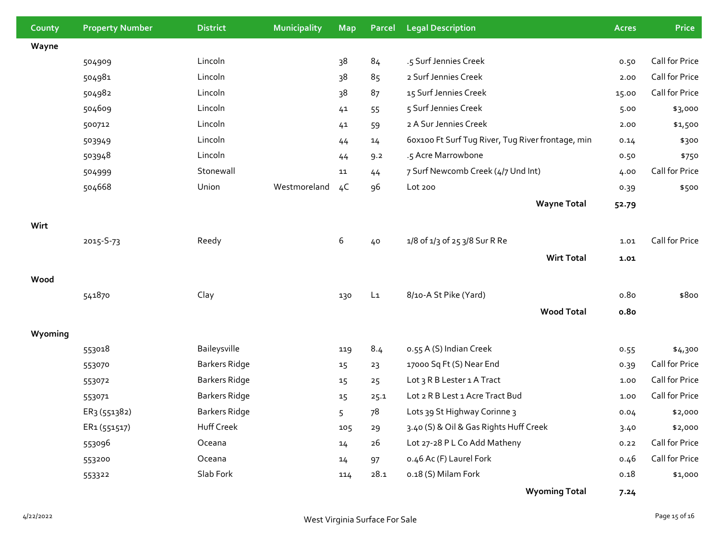| County  | <b>Property Number</b>   | <b>District</b>      | <b>Municipality</b> | <b>Map</b>     | Parcel         | <b>Legal Description</b>                          | <b>Acres</b>     | <b>Price</b>   |
|---------|--------------------------|----------------------|---------------------|----------------|----------------|---------------------------------------------------|------------------|----------------|
| Wayne   |                          |                      |                     |                |                |                                                   |                  |                |
|         | 504909                   | Lincoln              |                     | 38             | 84             | .5 Surf Jennies Creek                             | 0.50             | Call for Price |
|         | 504981                   | Lincoln              |                     | 38             | 85             | 2 Surf Jennies Creek                              | 2.00             | Call for Price |
|         | 504982                   | Lincoln              |                     | 38             | 87             | 15 Surf Jennies Creek                             | 15.00            | Call for Price |
|         | 504609                   | Lincoln              |                     | 41             | 55             | 5 Surf Jennies Creek                              | 5.00             | \$3,000        |
|         | 500712                   | Lincoln              |                     | 41             | 59             | 2 A Sur Jennies Creek                             | 2.00             | \$1,500        |
|         | 503949                   | Lincoln              |                     | 44             | 14             | 60x100 Ft Surf Tug River, Tug River frontage, min | 0.14             | \$300          |
|         | 503948                   | Lincoln              |                     | 44             | 9.2            | .5 Acre Marrowbone                                | 0.50             | \$750          |
|         | 504999                   | Stonewall            |                     | 11             | 44             | 7 Surf Newcomb Creek (4/7 Und Int)                | 4.00             | Call for Price |
|         | 504668                   | Union                | Westmoreland        | 4 <sup>C</sup> | 96             | Lot 200                                           | 0.39             | \$500          |
|         |                          |                      |                     |                |                | <b>Wayne Total</b>                                | 52.79            |                |
| Wirt    |                          |                      |                     |                |                |                                                   |                  |                |
|         | 2015-S-73                | Reedy                |                     | 6              | 40             | 1/8 of 1/3 of 25 3/8 Sur R Re                     | 1.01             | Call for Price |
|         |                          |                      |                     |                |                | <b>Wirt Total</b>                                 | 1.01             |                |
| Wood    |                          |                      |                     |                |                |                                                   |                  |                |
|         | 541870                   | Clay                 |                     | 130            | L <sub>1</sub> | 8/10-A St Pike (Yard)                             | 0.8 <sub>0</sub> | \$800          |
|         |                          |                      |                     |                |                | <b>Wood Total</b>                                 | 0.80             |                |
|         |                          |                      |                     |                |                |                                                   |                  |                |
| Wyoming |                          |                      |                     |                |                |                                                   |                  |                |
|         | 553018                   | Baileysville         |                     | 119            | 8.4            | o.55 A (S) Indian Creek                           | 0.55             | \$4,300        |
|         | 553070                   | <b>Barkers Ridge</b> |                     | 15             | 23             | 17000 Sq Ft (S) Near End                          | 0.39             | Call for Price |
|         | 553072                   | <b>Barkers Ridge</b> |                     | 15             | 25             | Lot 3 R B Lester 1 A Tract                        | 1.00             | Call for Price |
|         | 553071                   | <b>Barkers Ridge</b> |                     | 15             | 25.1           | Lot 2 R B Lest 1 Acre Tract Bud                   | 1.00             | Call for Price |
|         | ER3 (551382)             | <b>Barkers Ridge</b> |                     | 5              | 78             | Lots 39 St Highway Corinne 3                      | 0.04             | \$2,000        |
|         | ER <sub>1</sub> (551517) | Huff Creek           |                     | 105            | 29             | 3.40 (S) & Oil & Gas Rights Huff Creek            | 3.40             | \$2,000        |
|         | 553096                   | Oceana               |                     | 14             | 26             | Lot 27-28 P L Co Add Matheny                      | 0.22             | Call for Price |
|         | 553200                   | Oceana               |                     | 14             | 97             | o.46 Ac (F) Laurel Fork                           | 0.46             | Call for Price |
|         | 553322                   | Slab Fork            |                     | 114            | 28.1           | o.18 (S) Milam Fork                               | 0.18             | \$1,000        |
|         |                          |                      |                     |                |                | <b>Wyoming Total</b>                              | 7.24             |                |